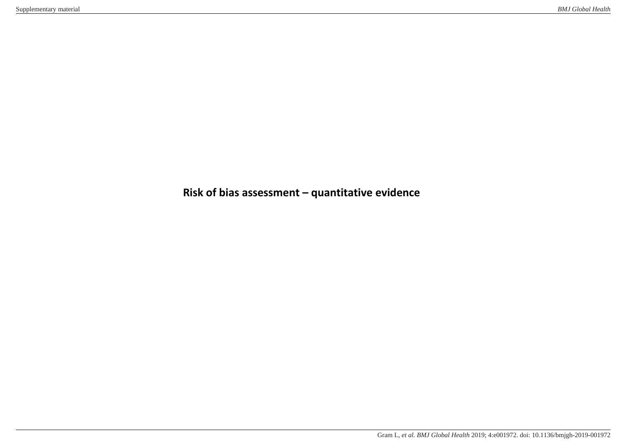**Risk of bias assessment – quantitative evidence**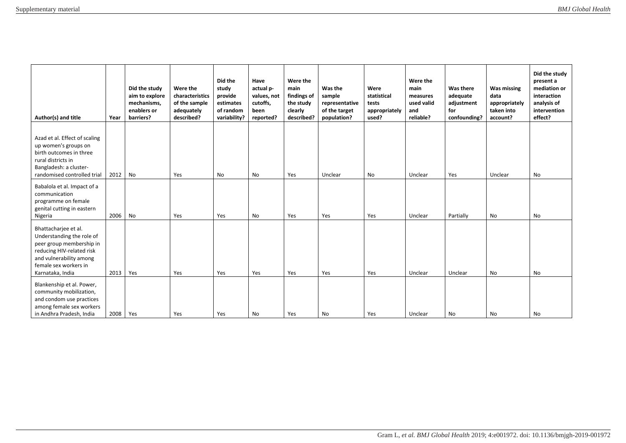| Author(s) and title                                                                                                                                                                | Year | Did the study<br>aim to explore<br>mechanisms.<br>enablers or<br>barriers? | Were the<br>characteristics<br>of the sample<br>adequately<br>described? | Did the<br>study<br>provide<br>estimates<br>of random<br>variability? | Have<br>actual p-<br>values, not<br>cutoffs,<br>been<br>reported? | Were the<br>main<br>findings of<br>the study<br>clearly<br>described? | Was the<br>sample<br>representative<br>of the target<br>population? | Were<br>statistical<br>tests<br>appropriately<br>used? | Were the<br>main<br>measures<br>used valid<br>and<br>reliable? | Was there<br>adequate<br>adjustment<br>for<br>confounding? | <b>Was missing</b><br>data<br>appropriately<br>taken into<br>account? | Did the study<br>present a<br>mediation or<br>interaction<br>analysis of<br>intervention<br>effect? |
|------------------------------------------------------------------------------------------------------------------------------------------------------------------------------------|------|----------------------------------------------------------------------------|--------------------------------------------------------------------------|-----------------------------------------------------------------------|-------------------------------------------------------------------|-----------------------------------------------------------------------|---------------------------------------------------------------------|--------------------------------------------------------|----------------------------------------------------------------|------------------------------------------------------------|-----------------------------------------------------------------------|-----------------------------------------------------------------------------------------------------|
| Azad et al. Effect of scaling<br>up women's groups on<br>birth outcomes in three<br>rural districts in<br>Bangladesh: a cluster-<br>randomised controlled trial                    | 2012 | No                                                                         | Yes                                                                      | <b>No</b>                                                             | <b>No</b>                                                         | Yes                                                                   | Unclear                                                             | No                                                     | Unclear                                                        | Yes                                                        | Unclear                                                               | <b>No</b>                                                                                           |
| Babalola et al. Impact of a<br>communication<br>programme on female<br>genital cutting in eastern<br>Nigeria                                                                       | 2006 | No                                                                         | Yes                                                                      | Yes                                                                   | <b>No</b>                                                         | Yes                                                                   | Yes                                                                 | Yes                                                    | Unclear                                                        | Partially                                                  | No                                                                    | No                                                                                                  |
| Bhattacharjee et al.<br>Understanding the role of<br>peer group membership in<br>reducing HIV-related risk<br>and vulnerability among<br>female sex workers in<br>Karnataka, India | 2013 | Yes                                                                        | Yes                                                                      | Yes                                                                   | Yes                                                               | Yes                                                                   | Yes                                                                 | Yes                                                    | Unclear                                                        | Unclear                                                    | No                                                                    | No                                                                                                  |
| Blankenship et al. Power,<br>community mobilization,<br>and condom use practices<br>among female sex workers<br>in Andhra Pradesh, India                                           | 2008 | Yes                                                                        | Yes                                                                      | Yes                                                                   | No                                                                | Yes                                                                   | <b>No</b>                                                           | Yes                                                    | Unclear                                                        | No                                                         | No                                                                    | No                                                                                                  |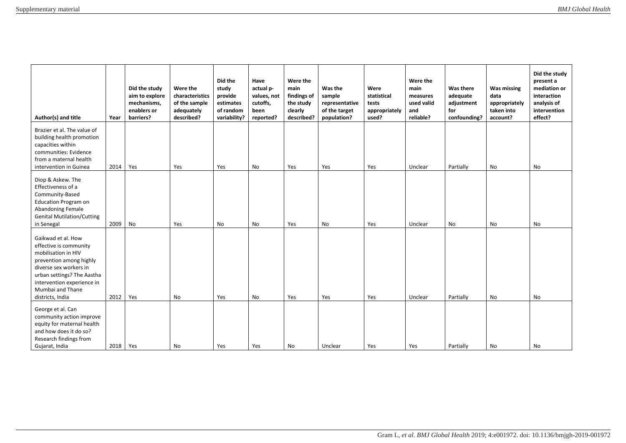| Author(s) and title                                                                                                                                                                                                          | Year | Did the study<br>aim to explore<br>mechanisms,<br>enablers or<br>barriers? | Were the<br>characteristics<br>of the sample<br>adequately<br>described? | Did the<br>study<br>provide<br>estimates<br>of random<br>variability? | Have<br>actual p-<br>values, not<br>cutoffs,<br>been<br>reported? | Were the<br>main<br>findings of<br>the study<br>clearly<br>described? | Was the<br>sample<br>representative<br>of the target<br>population? | Were<br>statistical<br>tests<br>appropriately<br>used? | Were the<br>main<br>measures<br>used valid<br>and<br>reliable? | Was there<br>adequate<br>adjustment<br>for<br>confounding? | <b>Was missing</b><br>data<br>appropriately<br>taken into<br>account? | Did the study<br>present a<br>mediation or<br>interaction<br>analysis of<br>intervention<br>effect? |
|------------------------------------------------------------------------------------------------------------------------------------------------------------------------------------------------------------------------------|------|----------------------------------------------------------------------------|--------------------------------------------------------------------------|-----------------------------------------------------------------------|-------------------------------------------------------------------|-----------------------------------------------------------------------|---------------------------------------------------------------------|--------------------------------------------------------|----------------------------------------------------------------|------------------------------------------------------------|-----------------------------------------------------------------------|-----------------------------------------------------------------------------------------------------|
| Brazier et al. The value of<br>building health promotion<br>capacities within<br>communities: Evidence<br>from a maternal health<br>intervention in Guinea                                                                   | 2014 | Yes                                                                        | Yes                                                                      | Yes                                                                   | No                                                                | Yes                                                                   | Yes                                                                 | Yes                                                    | Unclear                                                        | Partially                                                  | No                                                                    | No                                                                                                  |
| Diop & Askew. The<br>Effectiveness of a<br>Community-Based<br><b>Education Program on</b><br>Abandoning Female<br><b>Genital Mutilation/Cutting</b><br>in Senegal                                                            | 2009 | No                                                                         | Yes                                                                      | No                                                                    | No                                                                | Yes                                                                   | No                                                                  | Yes                                                    | Unclear                                                        | No                                                         | No                                                                    | No                                                                                                  |
| Gaikwad et al. How<br>effective is community<br>mobilisation in HIV<br>prevention among highly<br>diverse sex workers in<br>urban settings? The Aastha<br>intervention experience in<br>Mumbai and Thane<br>districts, India | 2012 | Yes                                                                        | No                                                                       | Yes                                                                   | <b>No</b>                                                         | Yes                                                                   | Yes                                                                 | Yes                                                    | Unclear                                                        | Partially                                                  | No                                                                    | <b>No</b>                                                                                           |
| George et al. Can<br>community action improve<br>equity for maternal health<br>and how does it do so?<br>Research findings from<br>Gujarat, India                                                                            | 2018 | Yes                                                                        | No.                                                                      | Yes                                                                   | Yes                                                               | No                                                                    | Unclear                                                             | Yes                                                    | Yes                                                            | Partially                                                  | No                                                                    | No                                                                                                  |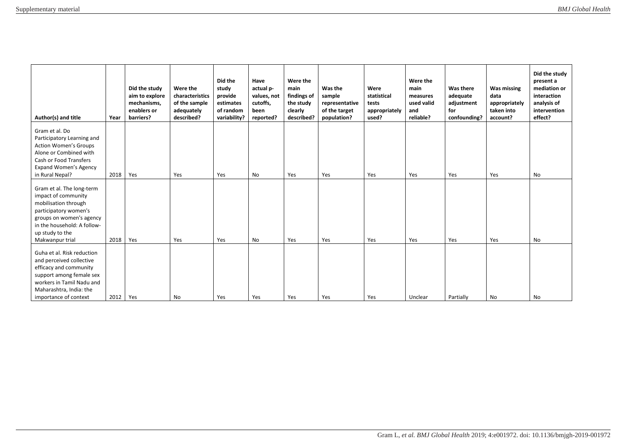| Author(s) and title                                                                                                                                                                                | Year | Did the study<br>aim to explore<br>mechanisms,<br>enablers or<br>barriers? | Were the<br>characteristics<br>of the sample<br>adequately<br>described? | Did the<br>study<br>provide<br>estimates<br>of random<br>variability? | Have<br>actual p-<br>values, not<br>cutoffs,<br>been<br>reported? | Were the<br>main<br>findings of<br>the study<br>clearly<br>described? | Was the<br>sample<br>representative<br>of the target<br>population? | Were<br>statistical<br>tests<br>appropriately<br>used? | Were the<br>main<br>measures<br>used valid<br>and<br>reliable? | Was there<br>adequate<br>adjustment<br>for<br>confounding? | <b>Was missing</b><br>data<br>appropriately<br>taken into<br>account? | Did the study<br>present a<br>mediation or<br>interaction<br>analysis of<br>intervention<br>effect? |
|----------------------------------------------------------------------------------------------------------------------------------------------------------------------------------------------------|------|----------------------------------------------------------------------------|--------------------------------------------------------------------------|-----------------------------------------------------------------------|-------------------------------------------------------------------|-----------------------------------------------------------------------|---------------------------------------------------------------------|--------------------------------------------------------|----------------------------------------------------------------|------------------------------------------------------------|-----------------------------------------------------------------------|-----------------------------------------------------------------------------------------------------|
| Gram et al. Do<br>Participatory Learning and<br><b>Action Women's Groups</b><br>Alone or Combined with<br>Cash or Food Transfers<br><b>Expand Women's Agency</b><br>in Rural Nepal?                | 2018 | Yes                                                                        | Yes                                                                      | Yes                                                                   | No                                                                | Yes                                                                   | Yes                                                                 | Yes                                                    | Yes                                                            | Yes                                                        | Yes                                                                   | No                                                                                                  |
| Gram et al. The long-term<br>impact of community<br>mobilisation through<br>participatory women's<br>groups on women's agency<br>in the household: A follow-<br>up study to the<br>Makwanpur trial | 2018 | Yes                                                                        | Yes                                                                      | Yes                                                                   | No                                                                | Yes                                                                   | Yes                                                                 | Yes                                                    | Yes                                                            | Yes                                                        | Yes                                                                   | No                                                                                                  |
| Guha et al. Risk reduction<br>and perceived collective<br>efficacy and community<br>support among female sex<br>workers in Tamil Nadu and<br>Maharashtra, India: the<br>importance of context      | 2012 | Yes                                                                        | <b>No</b>                                                                | Yes                                                                   | Yes                                                               | Yes                                                                   | Yes                                                                 | Yes                                                    | Unclear                                                        | Partially                                                  | No                                                                    | No                                                                                                  |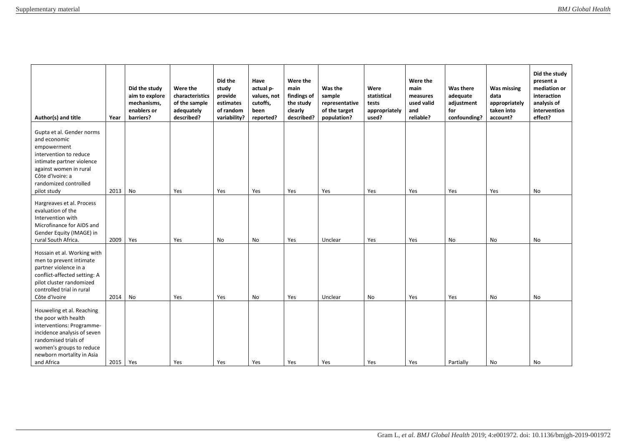| Author(s) and title                                                                                                                                                                                          | Year | Did the study<br>aim to explore<br>mechanisms.<br>enablers or<br>barriers? | Were the<br>characteristics<br>of the sample<br>adequately<br>described? | Did the<br>study<br>provide<br>estimates<br>of random<br>variability? | Have<br>actual p-<br>values, not<br>cutoffs,<br>been<br>reported? | Were the<br>main<br>findings of<br>the study<br>clearly<br>described? | Was the<br>sample<br>representative<br>of the target<br>population? | Were<br>statistical<br>tests<br>appropriately<br>used? | Were the<br>main<br>measures<br>used valid<br>and<br>reliable? | Was there<br>adequate<br>adjustment<br>for<br>confounding? | <b>Was missing</b><br>data<br>appropriately<br>taken into<br>account? | Did the study<br>present a<br>mediation or<br>interaction<br>analysis of<br>intervention<br>effect? |
|--------------------------------------------------------------------------------------------------------------------------------------------------------------------------------------------------------------|------|----------------------------------------------------------------------------|--------------------------------------------------------------------------|-----------------------------------------------------------------------|-------------------------------------------------------------------|-----------------------------------------------------------------------|---------------------------------------------------------------------|--------------------------------------------------------|----------------------------------------------------------------|------------------------------------------------------------|-----------------------------------------------------------------------|-----------------------------------------------------------------------------------------------------|
| Gupta et al. Gender norms<br>and economic<br>empowerment<br>intervention to reduce<br>intimate partner violence<br>against women in rural<br>Côte d'Ivoire: a<br>randomized controlled<br>pilot study        | 2013 | No                                                                         | Yes                                                                      | Yes                                                                   | Yes                                                               | Yes                                                                   | Yes                                                                 | Yes                                                    | Yes                                                            | Yes                                                        | Yes                                                                   | No                                                                                                  |
| Hargreaves et al. Process<br>evaluation of the<br>Intervention with<br>Microfinance for AIDS and<br>Gender Equity (IMAGE) in<br>rural South Africa.                                                          | 2009 | Yes                                                                        | Yes                                                                      | No                                                                    | No                                                                | Yes                                                                   | Unclear                                                             | Yes                                                    | Yes                                                            | No                                                         | No                                                                    | No                                                                                                  |
| Hossain et al. Working with<br>men to prevent intimate<br>partner violence in a<br>conflict-affected setting: A<br>pilot cluster randomized<br>controlled trial in rural<br>Côte d'Ivoire                    | 2014 | No                                                                         | Yes                                                                      | Yes                                                                   | No                                                                | Yes                                                                   | Unclear                                                             | No                                                     | Yes                                                            | Yes                                                        | No                                                                    | No                                                                                                  |
| Houweling et al. Reaching<br>the poor with health<br>interventions: Programme-<br>incidence analysis of seven<br>randomised trials of<br>women's groups to reduce<br>newborn mortality in Asia<br>and Africa | 2015 | Yes                                                                        | Yes                                                                      | Yes                                                                   | Yes                                                               | Yes                                                                   | Yes                                                                 | Yes                                                    | Yes                                                            | Partially                                                  | No                                                                    | No                                                                                                  |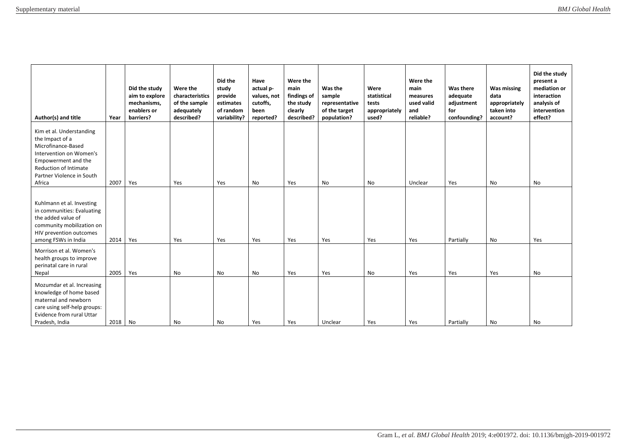| Author(s) and title                                                                                                                                                                 | Year | Did the study<br>aim to explore<br>mechanisms,<br>enablers or<br>barriers? | Were the<br>characteristics<br>of the sample<br>adequately<br>described? | Did the<br>study<br>provide<br>estimates<br>of random<br>variability? | Have<br>actual p-<br>values, not<br>cutoffs,<br>been<br>reported? | Were the<br>main<br>findings of<br>the study<br>clearly<br>described? | Was the<br>sample<br>representative<br>of the target<br>population? | Were<br>statistical<br>tests<br>appropriately<br>used? | Were the<br>main<br>measures<br>used valid<br>and<br>reliable? | Was there<br>adequate<br>adjustment<br>for<br>confounding? | Was missing<br>data<br>appropriately<br>taken into<br>account? | Did the study<br>present a<br>mediation or<br>interaction<br>analysis of<br>intervention<br>effect? |
|-------------------------------------------------------------------------------------------------------------------------------------------------------------------------------------|------|----------------------------------------------------------------------------|--------------------------------------------------------------------------|-----------------------------------------------------------------------|-------------------------------------------------------------------|-----------------------------------------------------------------------|---------------------------------------------------------------------|--------------------------------------------------------|----------------------------------------------------------------|------------------------------------------------------------|----------------------------------------------------------------|-----------------------------------------------------------------------------------------------------|
| Kim et al. Understanding<br>the Impact of a<br>Microfinance-Based<br>Intervention on Women's<br>Empowerment and the<br>Reduction of Intimate<br>Partner Violence in South<br>Africa | 2007 | Yes                                                                        | Yes                                                                      | Yes                                                                   | No                                                                | Yes                                                                   | No                                                                  | No                                                     | Unclear                                                        | Yes                                                        | No                                                             | No                                                                                                  |
| Kuhlmann et al. Investing<br>in communities: Evaluating<br>the added value of<br>community mobilization on<br>HIV prevention outcomes<br>among FSWs in India                        | 2014 | Yes                                                                        | Yes                                                                      | Yes                                                                   | Yes                                                               | Yes                                                                   | Yes                                                                 | Yes                                                    | Yes                                                            | Partially                                                  | No                                                             | Yes                                                                                                 |
| Morrison et al. Women's<br>health groups to improve<br>perinatal care in rural<br>Nepal                                                                                             | 2005 | Yes                                                                        | No                                                                       | No                                                                    | No                                                                | Yes                                                                   | Yes                                                                 | No                                                     | Yes                                                            | Yes                                                        | Yes                                                            | No                                                                                                  |
| Mozumdar et al. Increasing<br>knowledge of home based<br>maternal and newborn<br>care using self-help groups:<br>Evidence from rural Uttar<br>Pradesh, India                        | 2018 | No                                                                         | <b>No</b>                                                                | <b>No</b>                                                             | Yes                                                               | Yes                                                                   | Unclear                                                             | Yes                                                    | Yes                                                            | Partially                                                  | No                                                             | No                                                                                                  |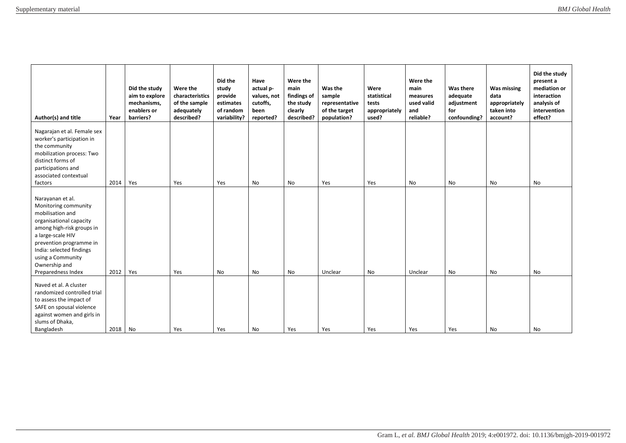| Author(s) and title                                                                                                                                                                                                                                          | Year    | Did the study<br>aim to explore<br>mechanisms,<br>enablers or<br>barriers? | Were the<br>characteristics<br>of the sample<br>adequately<br>described? | Did the<br>study<br>provide<br>estimates<br>of random<br>variability? | Have<br>actual p-<br>values, not<br>cutoffs,<br>been<br>reported? | Were the<br>main<br>findings of<br>the study<br>clearly<br>described? | Was the<br>sample<br>representative<br>of the target<br>population? | Were<br>statistical<br>tests<br>appropriately<br>used? | Were the<br>main<br>measures<br>used valid<br>and<br>reliable? | Was there<br>adequate<br>adjustment<br>for<br>confounding? | <b>Was missing</b><br>data<br>appropriately<br>taken into<br>account? | Did the study<br>present a<br>mediation or<br>interaction<br>analysis of<br>intervention<br>effect? |
|--------------------------------------------------------------------------------------------------------------------------------------------------------------------------------------------------------------------------------------------------------------|---------|----------------------------------------------------------------------------|--------------------------------------------------------------------------|-----------------------------------------------------------------------|-------------------------------------------------------------------|-----------------------------------------------------------------------|---------------------------------------------------------------------|--------------------------------------------------------|----------------------------------------------------------------|------------------------------------------------------------|-----------------------------------------------------------------------|-----------------------------------------------------------------------------------------------------|
| Nagarajan et al. Female sex<br>worker's participation in<br>the community<br>mobilization process: Two<br>distinct forms of<br>participations and<br>associated contextual<br>factors                                                                        | 2014    | Yes                                                                        | Yes                                                                      | Yes                                                                   | No                                                                | No                                                                    | Yes                                                                 | Yes                                                    | No                                                             | No                                                         | No                                                                    | No                                                                                                  |
| Narayanan et al.<br>Monitoring community<br>mobilisation and<br>organisational capacity<br>among high-risk groups in<br>a large-scale HIV<br>prevention programme in<br>India: selected findings<br>using a Community<br>Ownership and<br>Preparedness Index | 2012    | Yes                                                                        | Yes                                                                      | No                                                                    | No                                                                | No                                                                    | Unclear                                                             | No                                                     | Unclear                                                        | No                                                         | No                                                                    | No                                                                                                  |
| Naved et al. A cluster<br>randomized controlled trial<br>to assess the impact of<br>SAFE on spousal violence<br>against women and girls in<br>slums of Dhaka,<br>Bangladesh                                                                                  | 2018 No |                                                                            | Yes                                                                      | Yes                                                                   | No                                                                | Yes                                                                   | Yes                                                                 | Yes                                                    | Yes                                                            | Yes                                                        | No                                                                    | No                                                                                                  |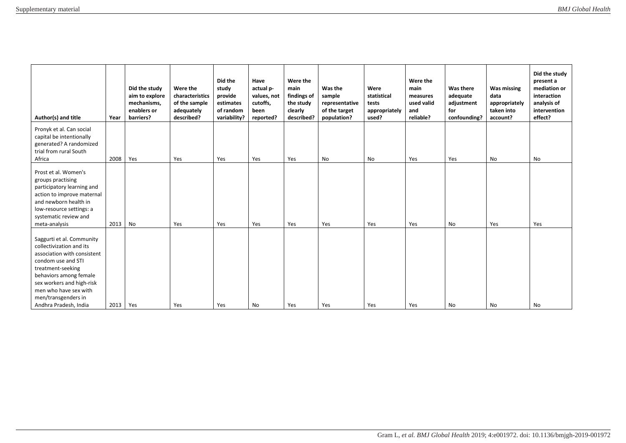| Author(s) and title                                                                                                                                                                                                                                             | Year | Did the study<br>aim to explore<br>mechanisms,<br>enablers or<br>barriers? | Were the<br>characteristics<br>of the sample<br>adequately<br>described? | Did the<br>study<br>provide<br>estimates<br>of random<br>variability? | Have<br>actual p-<br>values, not<br>cutoffs,<br>been<br>reported? | Were the<br>main<br>findings of<br>the study<br>clearly<br>described? | Was the<br>sample<br>representative<br>of the target<br>population? | Were<br>statistical<br>tests<br>appropriately<br>used? | Were the<br>main<br>measures<br>used valid<br>and<br>reliable? | Was there<br>adequate<br>adjustment<br>for<br>confounding? | Was missing<br>data<br>appropriately<br>taken into<br>account? | Did the study<br>present a<br>mediation or<br>interaction<br>analysis of<br>intervention<br>effect? |
|-----------------------------------------------------------------------------------------------------------------------------------------------------------------------------------------------------------------------------------------------------------------|------|----------------------------------------------------------------------------|--------------------------------------------------------------------------|-----------------------------------------------------------------------|-------------------------------------------------------------------|-----------------------------------------------------------------------|---------------------------------------------------------------------|--------------------------------------------------------|----------------------------------------------------------------|------------------------------------------------------------|----------------------------------------------------------------|-----------------------------------------------------------------------------------------------------|
| Pronyk et al. Can social<br>capital be intentionally<br>generated? A randomized<br>trial from rural South<br>Africa                                                                                                                                             | 2008 | Yes                                                                        | Yes                                                                      | Yes                                                                   | Yes                                                               | Yes                                                                   | No                                                                  | No                                                     | Yes                                                            | Yes                                                        | No                                                             | No                                                                                                  |
| Prost et al. Women's<br>groups practising<br>participatory learning and<br>action to improve maternal<br>and newborn health in<br>low-resource settings: a<br>systematic review and<br>meta-analysis                                                            | 2013 | No                                                                         | Yes                                                                      | Yes                                                                   | Yes                                                               | Yes                                                                   | Yes                                                                 | Yes                                                    | Yes                                                            | No                                                         | Yes                                                            | Yes                                                                                                 |
| Saggurti et al. Community<br>collectivization and its<br>association with consistent<br>condom use and STI<br>treatment-seeking<br>behaviors among female<br>sex workers and high-risk<br>men who have sex with<br>men/transgenders in<br>Andhra Pradesh, India | 2013 | Yes                                                                        | Yes                                                                      | Yes                                                                   | No                                                                | Yes                                                                   | Yes                                                                 | Yes                                                    | Yes                                                            | No                                                         | No                                                             | No                                                                                                  |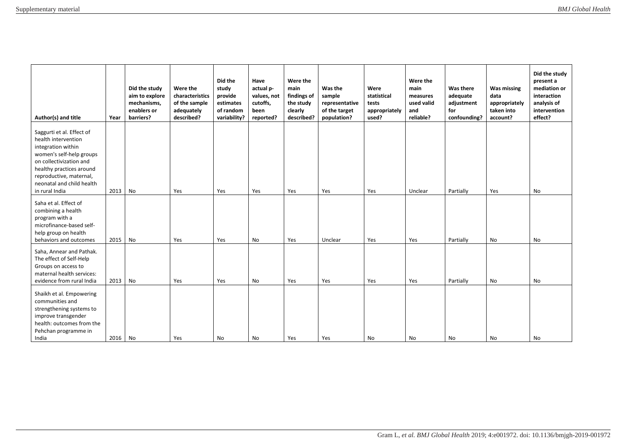| Author(s) and title                                                                                                                                                                                                                 | Year | Did the study<br>aim to explore<br>mechanisms,<br>enablers or<br>barriers? | Were the<br>characteristics<br>of the sample<br>adequately<br>described? | Did the<br>study<br>provide<br>estimates<br>of random<br>variability? | Have<br>actual p-<br>values, not<br>cutoffs,<br>been<br>reported? | Were the<br>main<br>findings of<br>the study<br>clearly<br>described? | Was the<br>sample<br>representative<br>of the target<br>population? | Were<br>statistical<br>tests<br>appropriately<br>used? | Were the<br>main<br>measures<br>used valid<br>and<br>reliable? | Was there<br>adequate<br>adjustment<br>for<br>confounding? | Was missing<br>data<br>appropriately<br>taken into<br>account? | Did the study<br>present a<br>mediation or<br>interaction<br>analysis of<br>intervention<br>effect? |
|-------------------------------------------------------------------------------------------------------------------------------------------------------------------------------------------------------------------------------------|------|----------------------------------------------------------------------------|--------------------------------------------------------------------------|-----------------------------------------------------------------------|-------------------------------------------------------------------|-----------------------------------------------------------------------|---------------------------------------------------------------------|--------------------------------------------------------|----------------------------------------------------------------|------------------------------------------------------------|----------------------------------------------------------------|-----------------------------------------------------------------------------------------------------|
| Saggurti et al. Effect of<br>health intervention<br>integration within<br>women's self-help groups<br>on collectivization and<br>healthy practices around<br>reproductive, maternal,<br>neonatal and child health<br>in rural India | 2013 | No                                                                         | Yes                                                                      | Yes                                                                   | Yes                                                               | Yes                                                                   | Yes                                                                 | Yes                                                    | Unclear                                                        | Partially                                                  | Yes                                                            | No                                                                                                  |
| Saha et al. Effect of<br>combining a health<br>program with a<br>microfinance-based self-<br>help group on health<br>behaviors and outcomes                                                                                         | 2015 | No                                                                         | Yes                                                                      | Yes                                                                   | No                                                                | Yes                                                                   | Unclear                                                             | Yes                                                    | Yes                                                            | Partially                                                  | No                                                             | No                                                                                                  |
| Saha, Annear and Pathak.<br>The effect of Self-Help<br>Groups on access to<br>maternal health services:<br>evidence from rural India                                                                                                | 2013 | No                                                                         | Yes                                                                      | Yes                                                                   | No                                                                | Yes                                                                   | Yes                                                                 | Yes                                                    | Yes                                                            | Partially                                                  | No                                                             | No                                                                                                  |
| Shaikh et al. Empowering<br>communities and<br>strengthening systems to<br>improve transgender<br>health: outcomes from the<br>Pehchan programme in<br>India                                                                        | 2016 | No                                                                         | Yes                                                                      | No                                                                    | <b>No</b>                                                         | Yes                                                                   | Yes                                                                 | No                                                     | No                                                             | No                                                         | No                                                             | No                                                                                                  |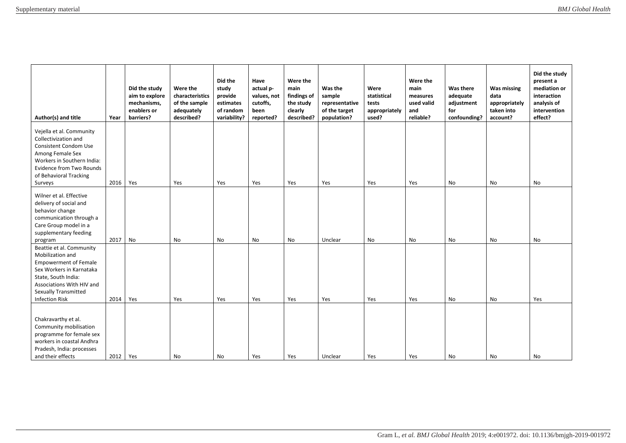| Author(s) and title                                                                                                                                                                                                  | Year | Did the study<br>aim to explore<br>mechanisms,<br>enablers or<br>barriers? | Were the<br>characteristics<br>of the sample<br>adequately<br>described? | Did the<br>study<br>provide<br>estimates<br>of random<br>variability? | Have<br>actual p-<br>values, not<br>cutoffs,<br>been<br>reported? | Were the<br>main<br>findings of<br>the study<br>clearly<br>described? | Was the<br>sample<br>representative<br>of the target<br>population? | Were<br>statistical<br>tests<br>appropriately<br>used? | Were the<br>main<br>measures<br>used valid<br>and<br>reliable? | Was there<br>adequate<br>adjustment<br>for<br>confounding? | <b>Was missing</b><br>data<br>appropriately<br>taken into<br>account? | Did the study<br>present a<br>mediation or<br>interaction<br>analysis of<br>intervention<br>effect? |
|----------------------------------------------------------------------------------------------------------------------------------------------------------------------------------------------------------------------|------|----------------------------------------------------------------------------|--------------------------------------------------------------------------|-----------------------------------------------------------------------|-------------------------------------------------------------------|-----------------------------------------------------------------------|---------------------------------------------------------------------|--------------------------------------------------------|----------------------------------------------------------------|------------------------------------------------------------|-----------------------------------------------------------------------|-----------------------------------------------------------------------------------------------------|
| Vejella et al. Community<br>Collectivization and<br>Consistent Condom Use<br>Among Female Sex<br>Workers in Southern India:<br><b>Evidence from Two Rounds</b><br>of Behavioral Tracking<br>Surveys                  | 2016 | Yes                                                                        | Yes                                                                      | Yes                                                                   | Yes                                                               | Yes                                                                   | Yes                                                                 | Yes                                                    | Yes                                                            | No                                                         | No                                                                    | No                                                                                                  |
| Wilner et al. Effective<br>delivery of social and<br>behavior change<br>communication through a<br>Care Group model in a<br>supplementary feeding<br>program                                                         | 2017 | No                                                                         | No                                                                       | No                                                                    | No                                                                | No                                                                    | Unclear                                                             | No                                                     | No                                                             | No                                                         | No                                                                    | No                                                                                                  |
| Beattie et al. Community<br>Mobilization and<br><b>Empowerment of Female</b><br>Sex Workers in Karnataka<br>State, South India:<br>Associations With HIV and<br><b>Sexually Transmitted</b><br><b>Infection Risk</b> | 2014 | Yes                                                                        | Yes                                                                      | Yes                                                                   | Yes                                                               | Yes                                                                   | Yes                                                                 | Yes                                                    | Yes                                                            | No                                                         | No                                                                    | Yes                                                                                                 |
| Chakravarthy et al.<br>Community mobilisation<br>programme for female sex<br>workers in coastal Andhra<br>Pradesh, India: processes<br>and their effects                                                             | 2012 | Yes                                                                        | No                                                                       | No                                                                    | Yes                                                               | Yes                                                                   | Unclear                                                             | Yes                                                    | Yes                                                            | No                                                         | No                                                                    | No                                                                                                  |